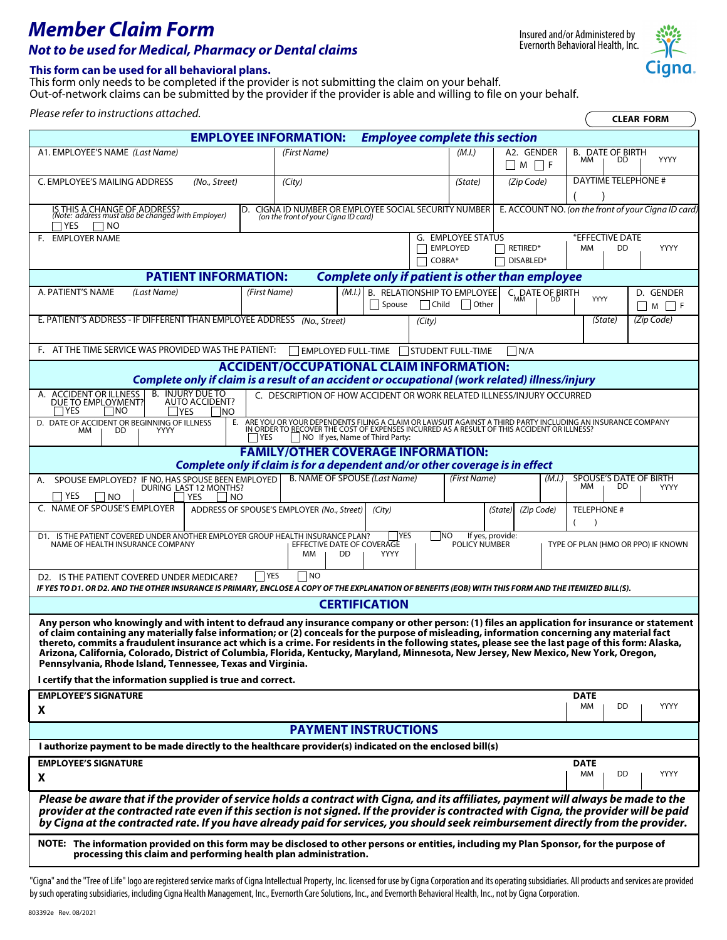# *Member Claim Form Not to be used for Medical, Pharmacy or Dental claims*

#### **This form can be used for all behavioral plans.**

This form only needs to be completed if the provider is not submitting the claim on your behalf. Out-of-network claims can be submitted by the provider if the provider is able and willing to file on your behalf.

*Please refer to instructions attached.*

| <b>EMPLOYEE INFORMATION:</b>                                                                                                                                                                                                                                                                                                                                                                                                                                                                                                                                                                                                                                                                                                   |                                                                                            | <b>Employee complete this section</b>                                                                                                                                                                           |  |  |
|--------------------------------------------------------------------------------------------------------------------------------------------------------------------------------------------------------------------------------------------------------------------------------------------------------------------------------------------------------------------------------------------------------------------------------------------------------------------------------------------------------------------------------------------------------------------------------------------------------------------------------------------------------------------------------------------------------------------------------|--------------------------------------------------------------------------------------------|-----------------------------------------------------------------------------------------------------------------------------------------------------------------------------------------------------------------|--|--|
| A1. EMPLOYEE'S NAME (Last Name)                                                                                                                                                                                                                                                                                                                                                                                                                                                                                                                                                                                                                                                                                                | (First Name)                                                                               | A2. GENDER<br>(M.I.)<br><b>B. DATE OF BIRTH</b><br>YYYY<br>MМ<br>DD.<br>$\Box$ M $\Box$ F                                                                                                                       |  |  |
| C. EMPLOYEE'S MAILING ADDRESS<br>(No., Street)                                                                                                                                                                                                                                                                                                                                                                                                                                                                                                                                                                                                                                                                                 | (City)                                                                                     | <b>DAYTIME TELEPHONE #</b><br>(Zip Code)<br>(State)                                                                                                                                                             |  |  |
| IS THIS A CHANGE OF ADDRESS?<br>(Note: address must also be changed with Employer)<br>D.<br>7 YES<br>∣NO                                                                                                                                                                                                                                                                                                                                                                                                                                                                                                                                                                                                                       | CIGNA ID NUMBER OR EMPLOYEE SOCIAL SECURITY NUMBER<br>(on the front of your Cigna ID card) | E. ACCOUNT NO. (on the front of your Cigna ID card)                                                                                                                                                             |  |  |
| F. EMPLOYER NAME                                                                                                                                                                                                                                                                                                                                                                                                                                                                                                                                                                                                                                                                                                               |                                                                                            | <b>*EFFECTIVE DATE</b><br>G. EMPLOYEE STATUS                                                                                                                                                                    |  |  |
|                                                                                                                                                                                                                                                                                                                                                                                                                                                                                                                                                                                                                                                                                                                                |                                                                                            | EMPLOYED<br>RETIRED*<br><b>YYYY</b><br><b>MM</b><br>DD                                                                                                                                                          |  |  |
|                                                                                                                                                                                                                                                                                                                                                                                                                                                                                                                                                                                                                                                                                                                                | COBRA*                                                                                     | DISABLED*                                                                                                                                                                                                       |  |  |
| <b>PATIENT INFORMATION:</b>                                                                                                                                                                                                                                                                                                                                                                                                                                                                                                                                                                                                                                                                                                    |                                                                                            | <b>Complete only if patient is other than employee</b>                                                                                                                                                          |  |  |
| A. PATIENT'S NAME<br>(Last Name)<br>(First Name)                                                                                                                                                                                                                                                                                                                                                                                                                                                                                                                                                                                                                                                                               | <b>B. RELATIONSHIP TO EMPLOYEE</b><br>(M.I.)<br>$\Box$ Child<br>Spouse                     | C. DATE OF BIRTH<br>D. GENDER<br>YYYY<br>МM<br>DD<br>  Other<br>$\neg$ M $\neg$ F                                                                                                                               |  |  |
| E. PATIENT'S ADDRESS - IF DIFFERENT THAN EMPLOYEE ADDRESS                                                                                                                                                                                                                                                                                                                                                                                                                                                                                                                                                                                                                                                                      | (No., Street)<br>(City)                                                                    | (Zip Code)<br>(State)                                                                                                                                                                                           |  |  |
| F. AT THE TIME SERVICE WAS PROVIDED WAS THE PATIENT:                                                                                                                                                                                                                                                                                                                                                                                                                                                                                                                                                                                                                                                                           | EMPLOYED FULL-TIME STUDENT FULL-TIME                                                       | IN/A                                                                                                                                                                                                            |  |  |
| <b>ACCIDENT/OCCUPATIONAL CLAIM INFORMATION:</b>                                                                                                                                                                                                                                                                                                                                                                                                                                                                                                                                                                                                                                                                                |                                                                                            |                                                                                                                                                                                                                 |  |  |
| Complete only if claim is a result of an accident or occupational (work related) illness/injury                                                                                                                                                                                                                                                                                                                                                                                                                                                                                                                                                                                                                                |                                                                                            |                                                                                                                                                                                                                 |  |  |
| <b>B. INJURY DUE TO</b><br>A. ACCIDENT OR ILLNESS<br>DUE TO EMPLOYMENT?<br><b>AUTO ACCIDENT?</b><br><b>TYES</b><br>1NO<br><b>IYES</b><br><b>INO</b>                                                                                                                                                                                                                                                                                                                                                                                                                                                                                                                                                                            | C. DESCRIPTION OF HOW ACCIDENT OR WORK RELATED ILLNESS/INJURY OCCURRED                     |                                                                                                                                                                                                                 |  |  |
| D. DATE OF ACCIDENT OR BEGINNING OF ILLNESS<br>E.<br><b>MM</b><br>DD<br>YYYY<br>l YES                                                                                                                                                                                                                                                                                                                                                                                                                                                                                                                                                                                                                                          | $\Box$ NO If yes, Name of Third Party:                                                     | ARE YOU OR YOUR DEPENDENTS FILING A CLAIM OR LAWSUIT AGAINST A THIRD PARTY INCLUDING AN INSURANCE COMPANY<br>IN ORDER TO <u>RE</u> COVER THE COST OF EXPENSES INCURRED AS A RESULT OF THIS ACCIDENT OR ILLNESS? |  |  |
|                                                                                                                                                                                                                                                                                                                                                                                                                                                                                                                                                                                                                                                                                                                                | <b>FAMILY/OTHER COVERAGE INFORMATION:</b>                                                  |                                                                                                                                                                                                                 |  |  |
|                                                                                                                                                                                                                                                                                                                                                                                                                                                                                                                                                                                                                                                                                                                                | Complete only if claim is for a dependent and/or other coverage is in effect               |                                                                                                                                                                                                                 |  |  |
| A. SPOUSE EMPLOYED? IF NO, HAS SPOUSE BEEN EMPLOYED<br>DURING LAST 12 MONTHS?<br>$\Box$ Yes<br>I INO<br>YES<br>I NO                                                                                                                                                                                                                                                                                                                                                                                                                                                                                                                                                                                                            | <b>B. NAME OF SPOUSE (Last Name)</b>                                                       | (First Name)<br>SPOUSE'S DATE OF BIRTH<br>(M.I.)<br>MМ<br>DD<br><b>YYYY</b>                                                                                                                                     |  |  |
| C. NAME OF SPOUSE'S EMPLOYER                                                                                                                                                                                                                                                                                                                                                                                                                                                                                                                                                                                                                                                                                                   | ADDRESS OF SPOUSE'S EMPLOYER (No., Street)<br>(City)                                       | <b>TELEPHONE #</b><br>(State)<br>(Zip Code)                                                                                                                                                                     |  |  |
| D1. IS THE PATIENT COVERED UNDER ANOTHER EMPLOYER GROUP HEALTH INSURANCE PLAN?<br>NAME OF HEALTH INSURANCE COMPANY                                                                                                                                                                                                                                                                                                                                                                                                                                                                                                                                                                                                             | <b>YES</b><br><b>NO</b><br>EFFECTIVE DATE OF COVERAGE<br><b>YYYY</b><br>MМ<br>DD           | If yes, provide:<br>POLICY NUMBER<br>TYPE OF PLAN (HMO OR PPO) IF KNOWN                                                                                                                                         |  |  |
| $\neg$ NO<br><b>YES</b><br>D2. IS THE PATIENT COVERED UNDER MEDICARE?<br>IF YES TO D1. OR D2. AND THE OTHER INSURANCE IS PRIMARY, ENCLOSE A COPY OF THE EXPLANATION OF BENEFITS (EOB) WITH THIS FORM AND THE ITEMIZED BILL(S).                                                                                                                                                                                                                                                                                                                                                                                                                                                                                                 |                                                                                            |                                                                                                                                                                                                                 |  |  |
| <b>CERTIFICATION</b>                                                                                                                                                                                                                                                                                                                                                                                                                                                                                                                                                                                                                                                                                                           |                                                                                            |                                                                                                                                                                                                                 |  |  |
| Any person who knowingly and with intent to defraud any insurance company or other person: (1) files an application for insurance or statement<br>of claim containing any materially false information; or (2) conceals for the purpose of misleading, information concerning any material fact<br>thereto, commits a fraudulent insurance act which is a crime. For residents in the following states, please see the last page of this form: Alaska,<br>Arizona, California, Colorado, District of Columbia, Florida, Kentucky, Maryland, Minnesota, New Jersey, New Mexico, New York, Oregon,<br>Pennsylvania, Rhode Island, Tennessee, Texas and Virginia.<br>I certify that the information supplied is true and correct. |                                                                                            |                                                                                                                                                                                                                 |  |  |
| <b>EMPLOYEE'S SIGNATURE</b>                                                                                                                                                                                                                                                                                                                                                                                                                                                                                                                                                                                                                                                                                                    |                                                                                            | <b>DATE</b>                                                                                                                                                                                                     |  |  |
| X                                                                                                                                                                                                                                                                                                                                                                                                                                                                                                                                                                                                                                                                                                                              |                                                                                            | YYYY<br>ΜМ<br>DD                                                                                                                                                                                                |  |  |
| <b>PAYMENT INSTRUCTIONS</b>                                                                                                                                                                                                                                                                                                                                                                                                                                                                                                                                                                                                                                                                                                    |                                                                                            |                                                                                                                                                                                                                 |  |  |
| I authorize payment to be made directly to the healthcare provider(s) indicated on the enclosed bill(s)                                                                                                                                                                                                                                                                                                                                                                                                                                                                                                                                                                                                                        |                                                                                            |                                                                                                                                                                                                                 |  |  |
| <b>EMPLOYEE'S SIGNATURE</b>                                                                                                                                                                                                                                                                                                                                                                                                                                                                                                                                                                                                                                                                                                    |                                                                                            | DATE                                                                                                                                                                                                            |  |  |
| X                                                                                                                                                                                                                                                                                                                                                                                                                                                                                                                                                                                                                                                                                                                              |                                                                                            | ΜМ<br>DD<br>YYYY                                                                                                                                                                                                |  |  |
| Please be aware that if the provider of service holds a contract with Cigna, and its affiliates, payment will always be made to the<br>provider at the contracted rate even if this section is not signed. If the provider is contracted with Cigna, the provider will be paid<br>by Cigna at the contracted rate. If you have already paid for services, you should seek reimbursement directly from the provider.                                                                                                                                                                                                                                                                                                            |                                                                                            |                                                                                                                                                                                                                 |  |  |
| NOTE: The information provided on this form may be disclosed to other persons or entities, including my Plan Sponsor, for the purpose of<br>processing this claim and performing health plan administration.                                                                                                                                                                                                                                                                                                                                                                                                                                                                                                                   |                                                                                            |                                                                                                                                                                                                                 |  |  |

"Cigna" and the "Tree of Life" logo are registered service marks of Cigna Intellectual Property, Inc. licensed for use by Cigna Corporation and its operating subsidiaries. All products and services are provided by such operating subsidiaries, including Cigna Health Management, Inc., Evernorth Care Solutions, Inc., and Evernorth Behavioral Health, Inc., not by Cigna Corporation.



**CLEAR FORM**

 $\sqrt{2}$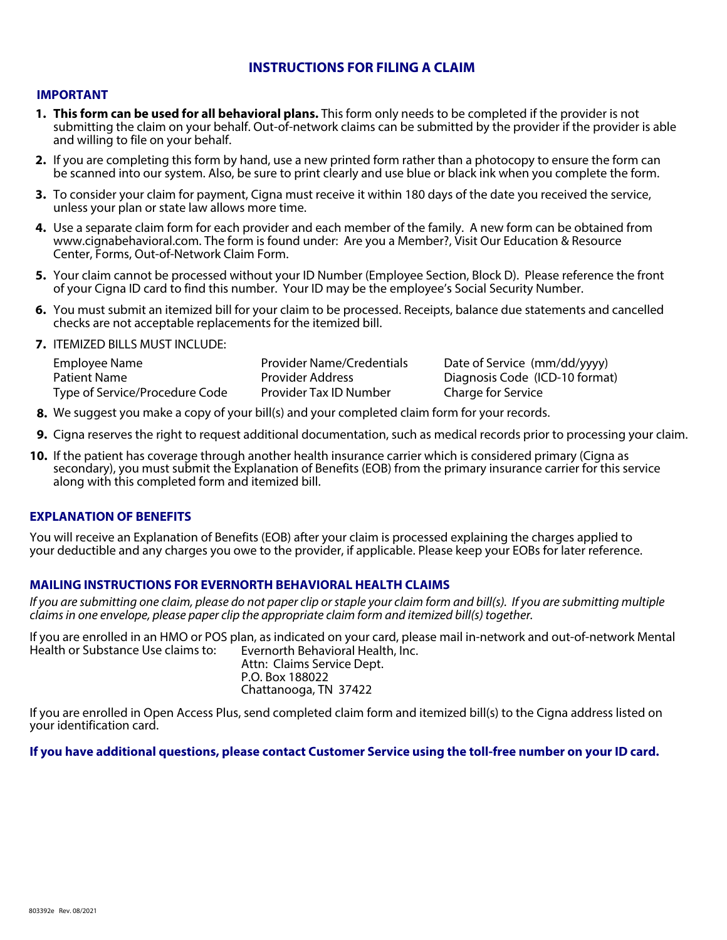### **INSTRUCTIONS FOR FILING A CLAIM**

#### **IMPORTANT**

- **1. This form can be used for all behavioral plans.** This form only needs to be completed if the provider is not submitting the claim on your behalf. Out-of-network claims can be submitted by the provider if the provider is able and willing to file on your behalf.
- 2. If you are completing this form by hand, use a new printed form rather than a photocopy to ensure the form can be scanned into our system. Also, be sure to print clearly and use blue or black ink when you complete the form.
- 3. To consider your claim for payment, Cigna must receive it within 180 days of the date you received the service, unless your plan or state law allows more time.
- 4. Use a separate claim form for each provider and each member of the family. A new form can be obtained from www.cignabehavioral.com. The form is found under: Are you a Member?, Visit Our Education & Resource Center, Forms, Out-of-Network Claim Form.
- **5.** Your claim cannot be processed without your ID Number (Employee Section, Block D). Please reference the front of your Cigna ID card to find this number. Your ID may be the employee's Social Security Number.
- **6.**  You must submit an itemized bill for your claim to be processed. Receipts, balance due statements and cancelled checks are not acceptable replacements for the itemized bill.
- **7.**  ITEMIZED BILLS MUST INCLUDE:

| Employee Name                  | <b>Provider Name/Credentials</b> | Date of Service (mm/dd/yyyy)   |
|--------------------------------|----------------------------------|--------------------------------|
| Patient Name                   | <b>Provider Address</b>          | Diagnosis Code (ICD-10 format) |
| Type of Service/Procedure Code | Provider Tax ID Number           | Charge for Service             |

- **8.** We suggest you make a copy of your bill(s) and your completed claim form for your records.
- **9.** Cigna reserves the right to request additional documentation, such as medical records prior to processing your claim.
- **10.** If the patient has coverage through another health insurance carrier which is considered primary (Cigna as secondary), you must submit the Explanation of Benefits (EOB) from the primary insurance carrier for this service along with this completed form and itemized bill.

#### **EXPLANATION OF BENEFITS**

You will receive an Explanation of Benefits (EOB) after your claim is processed explaining the charges applied to your deductible and any charges you owe to the provider, if applicable. Please keep your EOBs for later reference.

#### **MAILING INSTRUCTIONS FOR EVERNORTH BEHAVIORAL HEALTH CLAIMS**

*If you are submitting one claim, please do not paper clip or staple your claim form and bill(s). If you are submitting multiple claims in one envelope, please paper clip the appropriate claim form and itemized bill(s) together.*

If you are enrolled in an HMO or POS plan, as indicated on your card, please mail in-network and out-of-network Mental Health or Substance Use claims to: Evernorth Behavioral Health, Inc. Attn: Claims Service Dept.

P.O. Box 188022 Chattanooga, TN 37422

If you are enrolled in Open Access Plus, send completed claim form and itemized bill(s) to the Cigna address listed on your identification card.

#### **If you have additional questions, please contact Customer Service using the toll-free number on your ID card.**